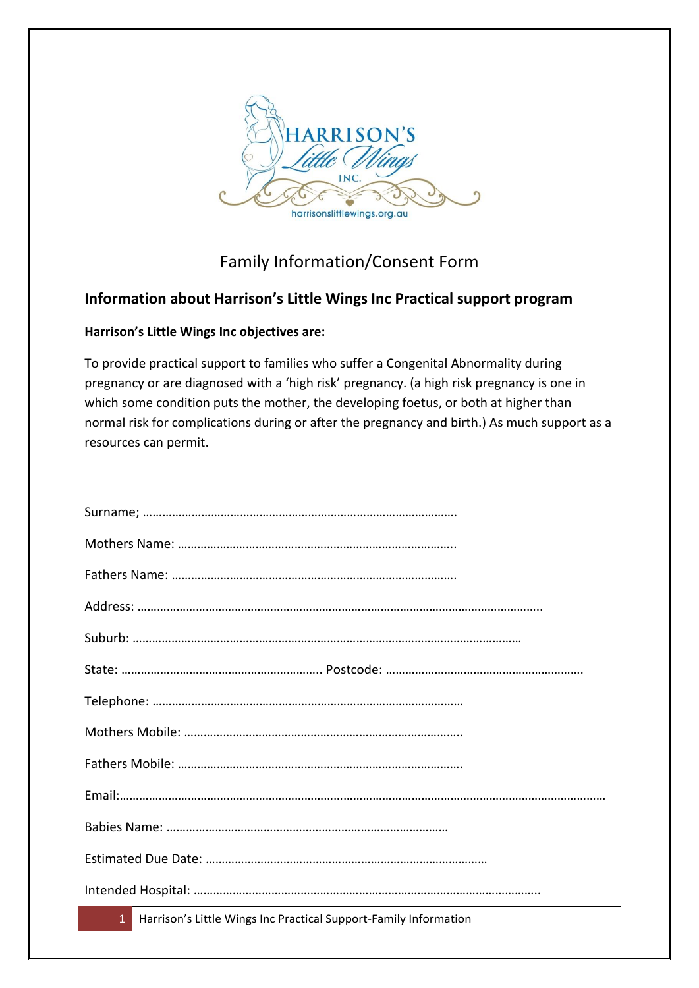

## Family Information/Consent Form

### **Information about Harrison's Little Wings Inc Practical support program**

### **Harrison's Little Wings Inc objectives are:**

To provide practical support to families who suffer a Congenital Abnormality during pregnancy or are diagnosed with a 'high risk' pregnancy. (a high risk pregnancy is one in which some condition puts the mother, the developing foetus, or both at higher than normal risk for complications during or after the pregnancy and birth.) As much support as a resources can permit.

1 Harrison's Little Wings Inc Practical Support-Family Information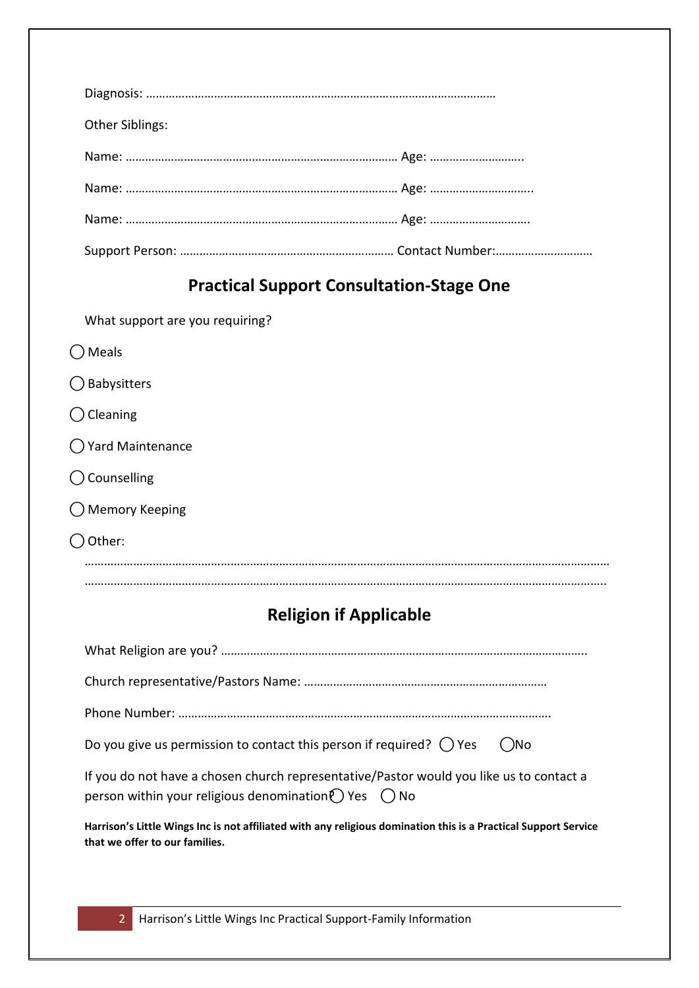| <b>Other Siblings:</b>                          |  |  |
|-------------------------------------------------|--|--|
|                                                 |  |  |
|                                                 |  |  |
|                                                 |  |  |
|                                                 |  |  |
| <b>Practical Support Consultation-Stage One</b> |  |  |
| What support are you requiring?                 |  |  |
| Vleals                                          |  |  |

- $\bigcirc$  Babysitters
- ⃝Cleaning
- ⃝Yard Maintenance
- ⃝Counselling
- Memory Keeping
- ⃝Other:

……………………………………………………………………………………………………………………………………………… ……………………………………………………………………………………………………………………………………………..

# **Religion if Applicable**

| Do you give us permission to contact this person if required? $\bigcap$ Yes<br>$($ )No                                                                          |
|-----------------------------------------------------------------------------------------------------------------------------------------------------------------|
| If you do not have a chosen church representative/Pastor would you like us to contact a<br>person within your religious denomination $\bigcap$ Yes $\bigcap$ No |
| Harrison's Little Wings Inc is not affiliated with any religious domination this is a Practical Support Service<br>that we offer to our families.               |

2 Harrison's Little Wings Inc Practical Support-Family Information